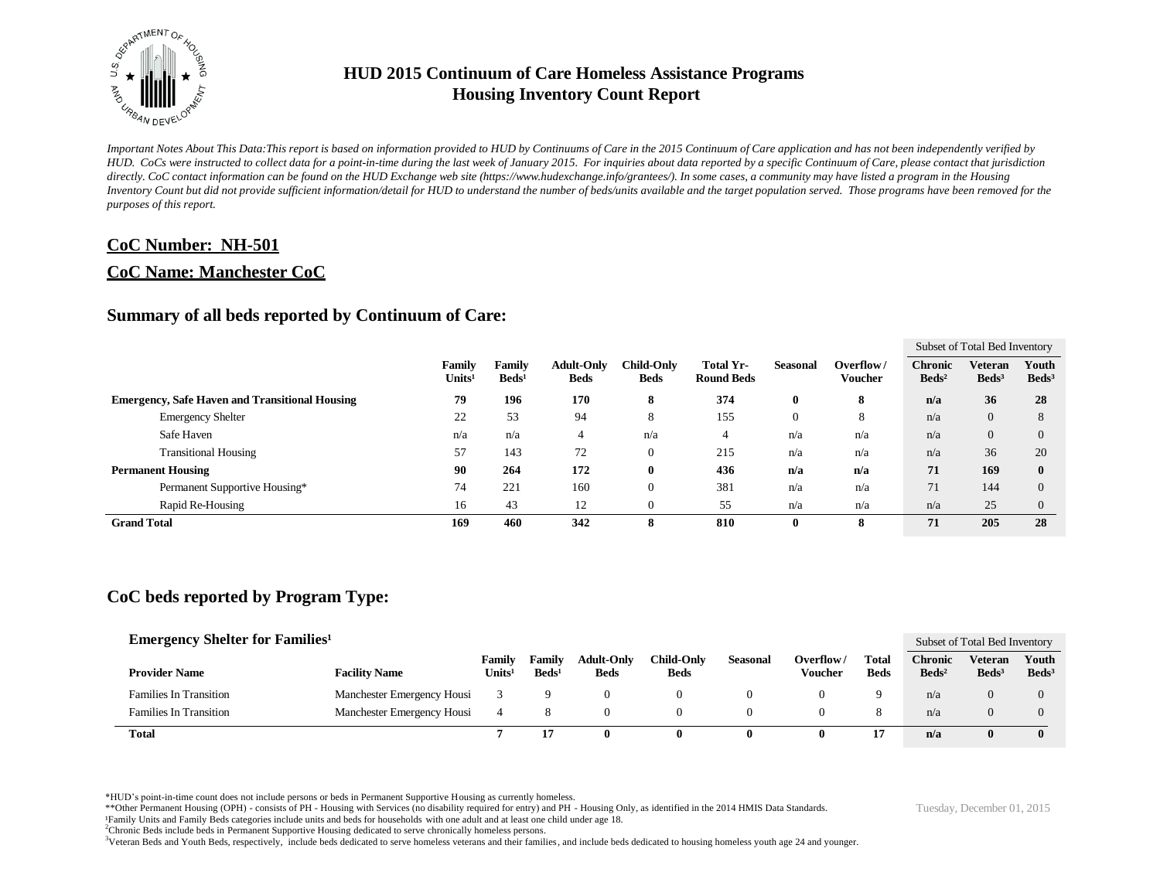

*Important Notes About This Data:This report is based on information provided to HUD by Continuums of Care in the 2015 Continuum of Care application and has not been independently verified by HUD. CoCs were instructed to collect data for a point-in-time during the last week of January 2015. For inquiries about data reported by a specific Continuum of Care, please contact that jurisdiction*  directly. CoC contact information can be found on the HUD Exchange web site (https://www.hudexchange.info/grantees/). In some cases, a community may have listed a program in the Housing *Inventory Count but did not provide sufficient information/detail for HUD to understand the number of beds/units available and the target population served. Those programs have been removed for the purposes of this report.*

#### **CoC Number: NH-501**

#### **CoC Name: Manchester CoC**

#### **Summary of all beds reported by Continuum of Care:**

|                                                       |                              |                           |                                  |                                  |                                       |                 |                             |                                     |                              | Subset of Total Bed Inventory |  |  |  |
|-------------------------------------------------------|------------------------------|---------------------------|----------------------------------|----------------------------------|---------------------------------------|-----------------|-----------------------------|-------------------------------------|------------------------------|-------------------------------|--|--|--|
|                                                       | Family<br>Units <sup>1</sup> | Family<br>$\text{Beds}^1$ | <b>Adult-Only</b><br><b>Beds</b> | <b>Child-Only</b><br><b>Beds</b> | <b>Total Yr-</b><br><b>Round Beds</b> | <b>Seasonal</b> | Overflow/<br><b>Voucher</b> | <b>Chronic</b><br>Beds <sup>2</sup> | Veteran<br>Beds <sup>3</sup> | Youth<br>Beds <sup>3</sup>    |  |  |  |
| <b>Emergency, Safe Haven and Transitional Housing</b> | 79                           | 196                       | 170                              | 8                                | 374                                   | 0               | 8                           | n/a                                 | 36                           | 28                            |  |  |  |
| <b>Emergency Shelter</b>                              | 22                           | 53                        | 94                               | 8                                | 155                                   | 0               | 8                           | n/a                                 | $\mathbf{0}$                 | 8                             |  |  |  |
| Safe Haven                                            | n/a                          | n/a                       | 4                                | n/a                              | 4                                     | n/a             | n/a                         | n/a                                 | $\theta$                     | $\Omega$                      |  |  |  |
| <b>Transitional Housing</b>                           | 57                           | 143                       | 72                               | $\theta$                         | 215                                   | n/a             | n/a                         | n/a                                 | 36                           | 20                            |  |  |  |
| <b>Permanent Housing</b>                              | 90                           | 264                       | 172                              | $\bf{0}$                         | 436                                   | n/a             | n/a                         | 71                                  | 169                          | 0                             |  |  |  |
| Permanent Supportive Housing*                         | 74                           | 221                       | 160                              | $\theta$                         | 381                                   | n/a             | n/a                         | 71                                  | 144                          | $\Omega$                      |  |  |  |
| Rapid Re-Housing                                      | 16                           | 43                        | 12                               | $\theta$                         | 55                                    | n/a             | n/a                         | n/a                                 | 25                           | $\Omega$                      |  |  |  |
| <b>Grand Total</b>                                    | 169                          | 460                       | 342                              | 8                                | 810                                   | $\mathbf{0}$    | 8                           | 71                                  | 205                          | 28                            |  |  |  |

## **CoC beds reported by Program Type:**

| <b>Emergency Shelter for Families</b> <sup>1</sup> |                            |                              |                             |                                  |                                  |                 |                      |                             |                                   | Subset of Total Bed Inventory       |                            |  |
|----------------------------------------------------|----------------------------|------------------------------|-----------------------------|----------------------------------|----------------------------------|-----------------|----------------------|-----------------------------|-----------------------------------|-------------------------------------|----------------------------|--|
| <b>Provider Name</b>                               | <b>Facility Name</b>       | Family<br>Units <sup>1</sup> | Family<br>Beds <sup>1</sup> | <b>Adult-Only</b><br><b>Beds</b> | <b>Child-Only</b><br><b>Beds</b> | <b>Seasonal</b> | Overflow/<br>Voucher | <b>Total</b><br><b>Beds</b> | <b>Chronic</b><br>$\text{Beds}^2$ | <b>Veteran</b><br>Beds <sup>3</sup> | Youth<br>Beds <sup>3</sup> |  |
| <b>Families In Transition</b>                      | Manchester Emergency Housi |                              |                             |                                  |                                  |                 |                      |                             | n/a                               | $\Omega$                            |                            |  |
| <b>Families In Transition</b>                      | Manchester Emergency Housi |                              | 8                           |                                  |                                  |                 |                      |                             | n/a                               |                                     | $\Omega$                   |  |
| <b>Total</b>                                       |                            |                              |                             |                                  |                                  | $\bf{0}$        | 0                    |                             | n/a                               |                                     | $\mathbf{0}$               |  |

\*HUD's point-in-time count does not include persons or beds in Permanent Supportive Housing as currently homeless.

\*\*Other Permanent Housing (OPH) - consists of PH - Housing with Services (no disability required for entry) and PH - Housing Only, as identified in the 2014 HMIS Data Standards.

¹Family Units and Family Beds categories include units and beds for households with one adult and at least one child under age 18.

<sup>2</sup>Chronic Beds include beds in Permanent Supportive Housing dedicated to serve chronically homeless persons.

<sup>3</sup>Veteran Beds and Youth Beds, respectively, include beds dedicated to serve homeless veterans and their families, and include beds dedicated to housing homeless youth age 24 and younger.

Tuesday, December 01, 2015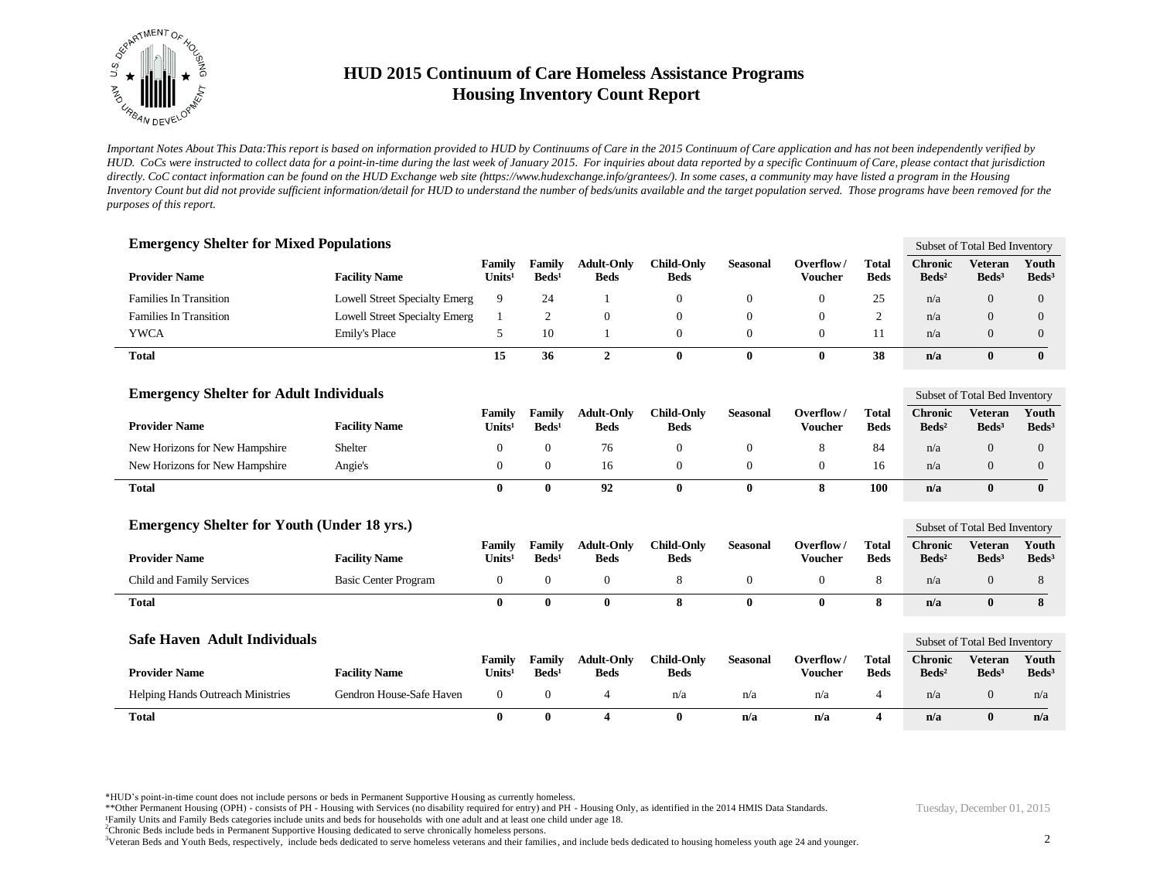

*Important Notes About This Data:This report is based on information provided to HUD by Continuums of Care in the 2015 Continuum of Care application and has not been independently verified by HUD. CoCs were instructed to collect data for a point-in-time during the last week of January 2015. For inquiries about data reported by a specific Continuum of Care, please contact that jurisdiction*  directly. CoC contact information can be found on the HUD Exchange web site (https://www.hudexchange.info/grantees/). In some cases, a community may have listed a program in the Housing *Inventory Count but did not provide sufficient information/detail for HUD to understand the number of beds/units available and the target population served. Those programs have been removed for the purposes of this report.*

| <b>Emergency Shelter for Mixed Populations</b>     |                                      |                              |                           |                                  |                                  |                  |                             |                             |                                   | Subset of Total Bed Inventory                   |                            |
|----------------------------------------------------|--------------------------------------|------------------------------|---------------------------|----------------------------------|----------------------------------|------------------|-----------------------------|-----------------------------|-----------------------------------|-------------------------------------------------|----------------------------|
| <b>Provider Name</b>                               | <b>Facility Name</b>                 | Family<br>Units <sup>1</sup> | Family<br>$\text{Beds}^1$ | <b>Adult-Only</b><br><b>Beds</b> | <b>Child-Only</b><br><b>Beds</b> | <b>Seasonal</b>  | Overflow/<br><b>Voucher</b> | <b>Total</b><br><b>Beds</b> | <b>Chronic</b><br>$\text{Beds}^2$ | <b>Veteran</b><br>Beds <sup>3</sup>             | Youth<br>Beds <sup>3</sup> |
| Families In Transition                             | <b>Lowell Street Specialty Emerg</b> | 9                            | 24                        | $\mathbf{1}$                     | $\mathbf{0}$                     | $\mathbf{0}$     | $\overline{0}$              | 25                          | n/a                               | $\Omega$                                        | $\overline{0}$             |
| Families In Transition                             | <b>Lowell Street Specialty Emerg</b> | $\mathbf{1}$                 | $\overline{c}$            | $\mathbf{0}$                     | $\boldsymbol{0}$                 | $\mathbf{0}$     | $\theta$                    | 2                           | n/a                               | $\overline{0}$                                  | $\overline{0}$             |
| <b>YWCA</b>                                        | <b>Emily's Place</b>                 | 5                            | 10                        | $\mathbf{1}$                     | $\mathbf{0}$                     | $\boldsymbol{0}$ | $\overline{0}$              | 11                          | n/a                               | $\overline{0}$                                  | 0                          |
| <b>Total</b>                                       |                                      | 15                           | 36                        | $\overline{2}$                   | $\bf{0}$                         | $\bf{0}$         | $\mathbf{0}$                | 38                          | n/a                               | $\bf{0}$                                        | $\bf{0}$                   |
| <b>Emergency Shelter for Adult Individuals</b>     |                                      |                              |                           |                                  |                                  |                  |                             |                             |                                   | Subset of Total Bed Inventory                   |                            |
| <b>Provider Name</b>                               | <b>Facility Name</b>                 | Family<br>Units <sup>1</sup> | Family<br>$\text{Beds}^1$ | <b>Adult-Only</b><br><b>Beds</b> | <b>Child-Only</b><br><b>Beds</b> | <b>Seasonal</b>  | Overflow/<br><b>Voucher</b> | <b>Total</b><br><b>Beds</b> | <b>Chronic</b><br>$\text{Beds}^2$ | <b>Veteran</b><br>$\text{Beds}^3$               | Youth<br>$\text{Beds}^3$   |
| New Horizons for New Hampshire                     | Shelter                              | $\theta$                     | $\mathbf{0}$              | 76                               | $\boldsymbol{0}$                 | $\mathbf{0}$     | 8                           | 84                          | n/a                               | $\overline{0}$                                  | $\overline{0}$             |
| New Horizons for New Hampshire                     | Angie's                              | $\mathbf{0}$                 | $\mathbf{0}$              | 16                               | $\mathbf{0}$                     | $\boldsymbol{0}$ | $\boldsymbol{0}$            | 16                          | n/a                               | $\overline{0}$                                  | 0                          |
| <b>Total</b>                                       |                                      | $\bf{0}$                     | $\bf{0}$                  | 92                               | $\bf{0}$                         | $\bf{0}$         | 8                           | 100                         | n/a                               | $\mathbf{0}$                                    | $\bf{0}$                   |
| <b>Emergency Shelter for Youth (Under 18 yrs.)</b> |                                      |                              |                           |                                  |                                  |                  |                             |                             |                                   |                                                 |                            |
|                                                    |                                      | Family                       | Family                    | <b>Adult-Only</b>                | <b>Child-Only</b>                | <b>Seasonal</b>  | Overflow/                   | <b>Total</b>                | <b>Chronic</b>                    | Subset of Total Bed Inventory<br><b>Veteran</b> | Youth                      |
| <b>Provider Name</b>                               | <b>Facility Name</b>                 | Units <sup>1</sup>           | $\text{Beds}^1$           | <b>Beds</b>                      | <b>Beds</b>                      |                  | <b>Voucher</b>              | <b>Beds</b>                 | $\text{Beds}^2$                   | $\text{Beds}^3$                                 | $\text{Beds}^3$            |
| Child and Family Services                          | <b>Basic Center Program</b>          | $\mathbf{0}$                 | $\mathbf{0}$              | $\mathbf{0}$                     | 8                                | $\mathbf{0}$     | $\overline{0}$              | 8                           | n/a                               | $\overline{0}$                                  | 8                          |
| <b>Total</b>                                       |                                      | $\bf{0}$                     | 0                         | $\mathbf{0}$                     | 8                                | $\mathbf{0}$     | $\mathbf 0$                 | 8                           | n/a                               | $\bf{0}$                                        | 8                          |
| Safe Haven Adult Individuals                       |                                      |                              |                           |                                  |                                  |                  |                             |                             |                                   | Subset of Total Bed Inventory                   |                            |
|                                                    |                                      | Family                       | Family                    | <b>Adult-Only</b>                | <b>Child-Only</b>                | <b>Seasonal</b>  | Overflow/                   | <b>Total</b>                | <b>Chronic</b>                    | <b>Veteran</b>                                  | Youth                      |
| <b>Provider Name</b>                               | <b>Facility Name</b>                 | Units <sup>1</sup>           | $\text{Beds}^1$           | <b>Beds</b>                      | <b>Beds</b>                      |                  | <b>Voucher</b>              | <b>Beds</b>                 | $\text{Beds}^2$                   | Beds <sup>3</sup>                               | Beds <sup>3</sup>          |
| <b>Helping Hands Outreach Ministries</b>           | Gendron House-Safe Haven             | $\mathbf{0}$                 | $\mathbf{0}$              | $\overline{4}$                   | n/a                              | n/a              | n/a                         | $\overline{4}$              | n/a                               | $\overline{0}$                                  | n/a                        |
| <b>Total</b>                                       |                                      | $\bf{0}$                     | 0                         | 4                                | $\mathbf{0}$                     | n/a              | n/a                         | $\overline{\mathbf{4}}$     | n/a                               | $\mathbf{0}$                                    | n/a                        |

\*HUD's point-in-time count does not include persons or beds in Permanent Supportive Housing as currently homeless.

\*\*Other Permanent Housing (OPH) - consists of PH - Housing with Services (no disability required for entry) and PH - Housing Only, as identified in the 2014 HMIS Data Standards.

¹Family Units and Family Beds categories include units and beds for households with one adult and at least one child under age 18.

<sup>2</sup>Chronic Beds include beds in Permanent Supportive Housing dedicated to serve chronically homeless persons.

<sup>3</sup>Veteran Beds and Youth Beds, respectively, include beds dedicated to serve homeless veterans and their families, and include beds dedicated to housing homeless youth age 24 and younger.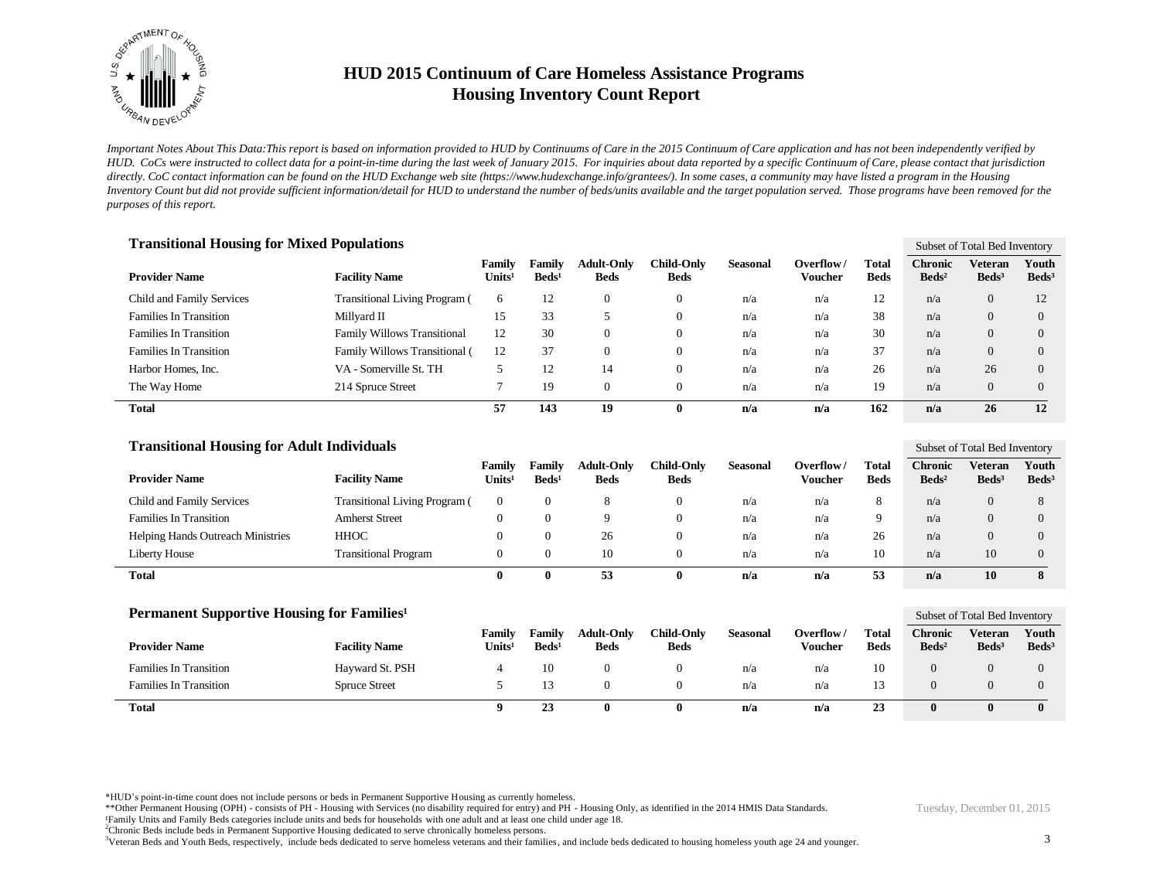

*Important Notes About This Data:This report is based on information provided to HUD by Continuums of Care in the 2015 Continuum of Care application and has not been independently verified by HUD. CoCs were instructed to collect data for a point-in-time during the last week of January 2015. For inquiries about data reported by a specific Continuum of Care, please contact that jurisdiction*  directly. CoC contact information can be found on the HUD Exchange web site (https://www.hudexchange.info/grantees/). In some cases, a community may have listed a program in the Housing *Inventory Count but did not provide sufficient information/detail for HUD to understand the number of beds/units available and the target population served. Those programs have been removed for the purposes of this report.*

| <b>Transitional Housing for Mixed Populations</b> |                                      |                              |                           |                                  |                           |                 |                      |                      |                                   | Subset of Total Bed Inventory |                          |  |
|---------------------------------------------------|--------------------------------------|------------------------------|---------------------------|----------------------------------|---------------------------|-----------------|----------------------|----------------------|-----------------------------------|-------------------------------|--------------------------|--|
| <b>Provider Name</b>                              | <b>Facility Name</b>                 | Family<br>Units <sup>1</sup> | Family<br>$\text{Beds}^1$ | <b>Adult-Only</b><br><b>Beds</b> | Child-Only<br><b>Beds</b> | <b>Seasonal</b> | Overflow/<br>Voucher | Total<br><b>Beds</b> | <b>Chronic</b><br>$\text{Beds}^2$ | Veteran<br>$\text{Beds}^3$    | Youth<br>$\text{Beds}^3$ |  |
| Child and Family Services                         | <b>Transitional Living Program (</b> | 6                            | 12                        | $\Omega$                         | $\theta$                  | n/a             | n/a                  | 12                   | n/a                               | $\overline{0}$                | 12                       |  |
| <b>Families In Transition</b>                     | Millyard II                          | 15                           | 33                        |                                  | $\boldsymbol{0}$          | n/a             | n/a                  | 38                   | n/a                               | $\overline{0}$                | $\Omega$                 |  |
| <b>Families In Transition</b>                     | <b>Family Willows Transitional</b>   | 12                           | 30                        | $\overline{0}$                   | $\theta$                  | n/a             | n/a                  | 30                   | n/a                               | $\overline{0}$                | $\Omega$                 |  |
| <b>Families In Transition</b>                     | Family Willows Transitional (        | 12                           | 37                        | $\Omega$                         | $\theta$                  | n/a             | n/a                  | 37                   | n/a                               | $\mathbf{0}$                  | 0                        |  |
| Harbor Homes, Inc.                                | VA - Somerville St. TH               |                              | 12                        | 14                               | $\theta$                  | n/a             | n/a                  | 26                   | n/a                               | 26                            | $\Omega$                 |  |
| The Way Home                                      | 214 Spruce Street                    |                              | 19                        | $\Omega$                         | $\overline{0}$            | n/a             | n/a                  | 19                   | n/a                               | $\Omega$                      | 0                        |  |
| Total                                             |                                      | 57                           | 143                       | 19                               | 0                         | n/a             | n/a                  | 162                  | n/a                               | 26                            | 12                       |  |

| <b>Transitional Housing for Adult Individuals</b> |                                      |                              |                             |                                  |                                  |                 |                      |                      |                                   |                              | Subset of Total Bed Inventory |  |  |
|---------------------------------------------------|--------------------------------------|------------------------------|-----------------------------|----------------------------------|----------------------------------|-----------------|----------------------|----------------------|-----------------------------------|------------------------------|-------------------------------|--|--|
| <b>Provider Name</b>                              | <b>Facility Name</b>                 | Family<br>Units <sup>1</sup> | Family<br>Beds <sup>1</sup> | <b>Adult-Only</b><br><b>Beds</b> | <b>Child-Only</b><br><b>Beds</b> | <b>Seasonal</b> | Overflow/<br>Voucher | Total<br><b>Beds</b> | <b>Chronic</b><br>$\text{Beds}^2$ | Veteran<br>Beds <sup>3</sup> | Youth<br>$\text{Beds}^3$      |  |  |
| Child and Family Services                         | <b>Transitional Living Program</b> ( | $\Omega$                     |                             |                                  | 0                                | n/a             | n/a                  | 8                    | n/a                               | 0                            |                               |  |  |
| <b>Families In Transition</b>                     | <b>Amherst Street</b>                |                              |                             |                                  | 0                                | n/a             | n/a                  | 9                    | n/a                               | 0                            | $\theta$                      |  |  |
| <b>Helping Hands Outreach Ministries</b>          | HHOC                                 |                              |                             | 26                               | O                                | n/a             | n/a                  | 26                   | n/a                               | 0                            | $\Omega$                      |  |  |
| Liberty House                                     | <b>Transitional Program</b>          |                              |                             | 10                               |                                  | n/a             | n/a                  | 10                   | n/a                               | 10                           | $\theta$                      |  |  |
| Total                                             |                                      | 0                            |                             | 53                               |                                  | n/a             | n/a                  | 53                   | n/a                               | 10                           |                               |  |  |

| <b>Permanent Supportive Housing for Families</b> <sup>1</sup> |                      |                              |                                  |                                  |                                  |                 |                      |                             |                                   | Subset of Total Bed Inventory     |                          |  |
|---------------------------------------------------------------|----------------------|------------------------------|----------------------------------|----------------------------------|----------------------------------|-----------------|----------------------|-----------------------------|-----------------------------------|-----------------------------------|--------------------------|--|
| <b>Provider Name</b>                                          | <b>Facility Name</b> | Family<br>Units <sup>1</sup> | <b>Family</b><br>$\text{Beds}^1$ | <b>Adult-Only</b><br><b>Beds</b> | <b>Child-Only</b><br><b>Beds</b> | <b>Seasonal</b> | Overflow/<br>Voucher | <b>Total</b><br><b>Beds</b> | <b>Chronic</b><br>$\text{Beds}^2$ | <b>Veteran</b><br>$\text{Beds}^3$ | Youth<br>$\text{Beds}^3$ |  |
| <b>Families In Transition</b>                                 | Hayward St. PSH      |                              | 10                               |                                  |                                  | n/a             | n/a                  | 10                          |                                   |                                   | $\theta$                 |  |
| <b>Families In Transition</b>                                 | <b>Spruce Street</b> |                              |                                  |                                  |                                  | n/a             | n/a                  |                             |                                   |                                   | $\theta$                 |  |
| Total                                                         |                      |                              | 23                               |                                  |                                  | n/a             | n/a                  | 23                          |                                   | $_{0}$                            | $\mathbf{0}$             |  |

\*HUD's point-in-time count does not include persons or beds in Permanent Supportive Housing as currently homeless.

\*\*Other Permanent Housing (OPH) - consists of PH - Housing with Services (no disability required for entry) and PH - Housing Only, as identified in the 2014 HMIS Data Standards.

<sup>2</sup>Chronic Beds include beds in Permanent Supportive Housing dedicated to serve chronically homeless persons.

<sup>3</sup>Veteran Beds and Youth Beds, respectively, include beds dedicated to serve homeless veterans and their families, and include beds dedicated to housing homeless youth age 24 and younger.

¹Family Units and Family Beds categories include units and beds for households with one adult and at least one child under age 18.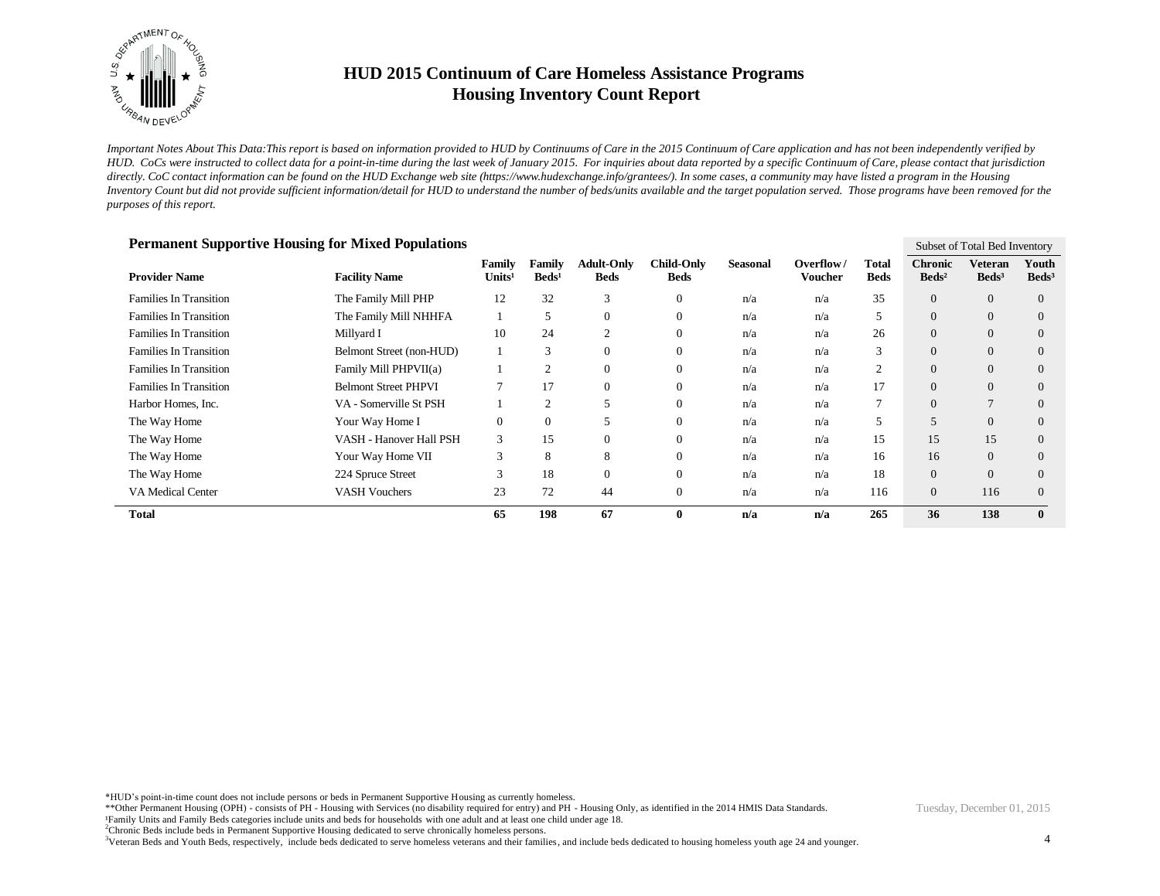

*Important Notes About This Data:This report is based on information provided to HUD by Continuums of Care in the 2015 Continuum of Care application and has not been independently verified by HUD. CoCs were instructed to collect data for a point-in-time during the last week of January 2015. For inquiries about data reported by a specific Continuum of Care, please contact that jurisdiction*  directly. CoC contact information can be found on the HUD Exchange web site (https://www.hudexchange.info/grantees/). In some cases, a community may have listed a program in the Housing *Inventory Count but did not provide sufficient information/detail for HUD to understand the number of beds/units available and the target population served. Those programs have been removed for the purposes of this report.*

| Permanent Supportive Housing for Mixed Populations |                             |                              |                           |                           |                                  |                 |                             |                      | Subset of Total Bed Inventory       |                              |                            |
|----------------------------------------------------|-----------------------------|------------------------------|---------------------------|---------------------------|----------------------------------|-----------------|-----------------------------|----------------------|-------------------------------------|------------------------------|----------------------------|
| <b>Provider Name</b>                               | <b>Facility Name</b>        | Family<br>Units <sup>1</sup> | Family<br>$\text{Beds}^1$ | <b>Adult-Only</b><br>Beds | <b>Child-Only</b><br><b>Beds</b> | <b>Seasonal</b> | Overflow/<br><b>Voucher</b> | Total<br><b>Beds</b> | <b>Chronic</b><br>Beds <sup>2</sup> | Veteran<br>Beds <sup>3</sup> | Youth<br>Beds <sup>3</sup> |
| <b>Families In Transition</b>                      | The Family Mill PHP         | 12                           | 32                        | 3                         | $\theta$                         | n/a             | n/a                         | 35                   | $\overline{0}$                      | $\overline{0}$               | $\overline{0}$             |
| <b>Families In Transition</b>                      | The Family Mill NHHFA       |                              | C                         | $\theta$                  | $\boldsymbol{0}$                 | n/a             | n/a                         | 5                    | $\theta$                            | $\mathbf{0}$                 | $\overline{0}$             |
| <b>Families In Transition</b>                      | Millyard I                  | 10                           | 24                        | $\overline{2}$            | $\theta$                         | n/a             | n/a                         | 26                   | $\overline{0}$                      | $\overline{0}$               | $\theta$                   |
| <b>Families In Transition</b>                      | Belmont Street (non-HUD)    |                              | 3                         | $\mathbf{0}$              | $\theta$                         | n/a             | n/a                         | 3                    | $\overline{0}$                      | $\overline{0}$               | $\overline{0}$             |
| <b>Families In Transition</b>                      | Family Mill PHPVII(a)       |                              | 2                         | $\theta$                  | $\overline{0}$                   | n/a             | n/a                         | $\overline{2}$       | $\theta$                            | $\overline{0}$               | $\overline{0}$             |
| <b>Families In Transition</b>                      | <b>Belmont Street PHPVI</b> |                              | 17                        | $\theta$                  | $\theta$                         | n/a             | n/a                         | 17                   | $\overline{0}$                      | $\overline{0}$               | $\Omega$                   |
| Harbor Homes, Inc.                                 | VA - Somerville St PSH      |                              | 2                         |                           | $\theta$                         | n/a             | n/a                         |                      | $\theta$                            | 7                            | $\overline{0}$             |
| The Way Home                                       | Your Way Home I             | $\mathbf{0}$                 | $\mathbf{0}$              | 5                         | $\overline{0}$                   | n/a             | n/a                         | 5                    | 5                                   | $\overline{0}$               | $\overline{0}$             |
| The Way Home                                       | VASH - Hanover Hall PSH     | 3                            | 15                        | $\theta$                  | $\theta$                         | n/a             | n/a                         | 15                   | 15                                  | 15                           | $\Omega$                   |
| The Way Home                                       | Your Way Home VII           | 3                            | 8                         | 8                         | $\theta$                         | n/a             | n/a                         | 16                   | 16                                  | $\overline{0}$               | $\theta$                   |
| The Way Home                                       | 224 Spruce Street           | 3                            | 18                        | $\theta$                  | $\theta$                         | n/a             | n/a                         | 18                   | $\theta$                            | $\overline{0}$               | $\theta$                   |
| <b>VA Medical Center</b>                           | <b>VASH Vouchers</b>        | 23                           | 72                        | 44                        | $\theta$                         | n/a             | n/a                         | 116                  | $\overline{0}$                      | 116                          | $\Omega$                   |
| <b>Total</b>                                       |                             | 65                           | 198                       | 67                        | $\bf{0}$                         | n/a             | n/a                         | 265                  | 36                                  | 138                          | $\mathbf{0}$               |

#### **Permanent Supportive Housing for Mixed Populations**

\*HUD's point-in-time count does not include persons or beds in Permanent Supportive Housing as currently homeless.

\*\*Other Permanent Housing (OPH) - consists of PH - Housing with Services (no disability required for entry) and PH - Housing Only, as identified in the 2014 HMIS Data Standards. ¹Family Units and Family Beds categories include units and beds for households with one adult and at least one child under age 18.

<sup>2</sup>Chronic Beds include beds in Permanent Supportive Housing dedicated to serve chronically homeless persons.

<sup>3</sup>Veteran Beds and Youth Beds, respectively, include beds dedicated to serve homeless veterans and their families, and include beds dedicated to housing homeless youth age 24 and younger.